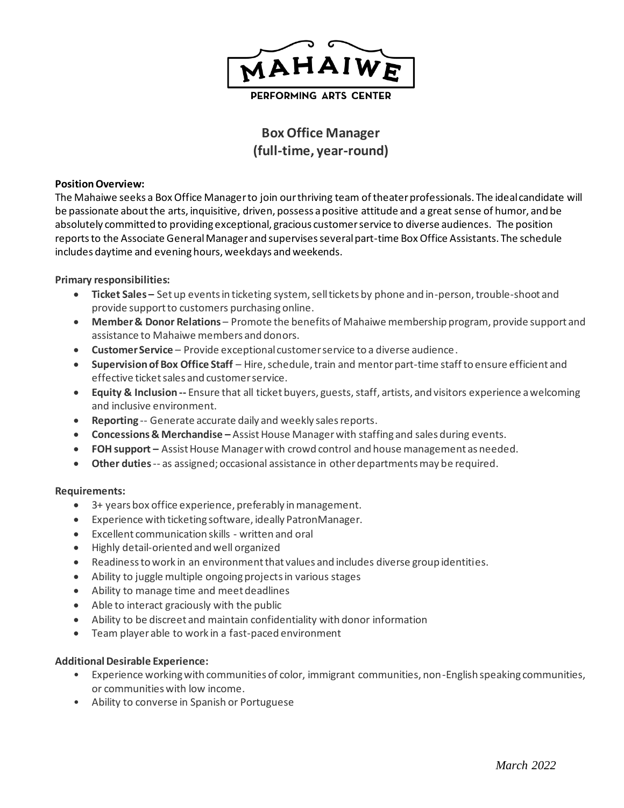

PERFORMING ARTS CENTER

# **Box Office Manager (full-time, year-round)**

#### **Position Overview:**

The Mahaiwe seeks a Box Office Manager to join our thriving team of theater professionals. The ideal candidate will be passionate about the arts, inquisitive, driven, possess a positive attitude and a great sense of humor, and be absolutely committed to providing exceptional, gracious customer service to diverse audiences. The position reports to the Associate General Manager and supervises several part-time Box Office Assistants. The schedule includes daytime and evening hours, weekdays and weekends.

### **Primary responsibilities:**

- **Ticket Sales –** Set up events in ticketing system, sell tickets by phone and in-person, trouble-shoot and provide support to customers purchasing online.
- **Member & Donor Relations**  Promote the benefits of Mahaiwe membership program, provide support and assistance to Mahaiwe members and donors.
- **Customer Service** Provide exceptional customer service to a diverse audience.
- **Supervision of Box Office Staff** Hire, schedule, train and mentor part-time staff to ensure efficient and effective ticket sales and customer service.
- **Equity & Inclusion --** Ensure that all ticket buyers, guests, staff, artists, and visitors experience a welcoming and inclusive environment.
- **Reporting** -- Generate accurate daily and weekly sales reports.
- **Concessions & Merchandise –** Assist House Managerwith staffing and sales during events.
- **FOH support –** Assist House Manager with crowd control and house management as needed.
- **Other duties**-- as assigned; occasional assistance in other departments may be required.

### **Requirements:**

- 3+ years box office experience, preferably in management.
- Experience with ticketing software, ideally PatronManager.
- Excellent communication skills written and oral
- Highly detail-oriented and well organized
- Readiness to work in an environment that values and includes diverse group identities.
- Ability to juggle multiple ongoing projects in various stages
- Ability to manage time and meet deadlines
- Able to interact graciously with the public
- Ability to be discreet and maintain confidentiality with donor information
- Team player able to work in a fast-paced environment

### **Additional Desirable Experience:**

- Experience working with communities of color, immigrant communities, non-English speaking communities, or communities with low income.
- Ability to converse in Spanish or Portuguese